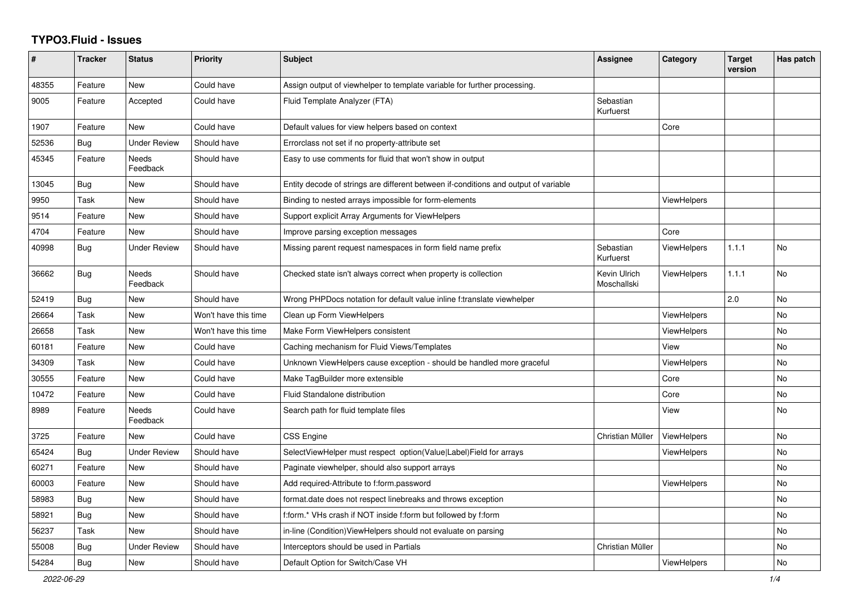## **TYPO3.Fluid - Issues**

| $\#$  | <b>Tracker</b> | <b>Status</b>       | <b>Priority</b>      | <b>Subject</b>                                                                      | Assignee                    | Category           | <b>Target</b><br>version | Has patch |
|-------|----------------|---------------------|----------------------|-------------------------------------------------------------------------------------|-----------------------------|--------------------|--------------------------|-----------|
| 48355 | Feature        | New                 | Could have           | Assign output of viewhelper to template variable for further processing.            |                             |                    |                          |           |
| 9005  | Feature        | Accepted            | Could have           | Fluid Template Analyzer (FTA)                                                       | Sebastian<br>Kurfuerst      |                    |                          |           |
| 1907  | Feature        | <b>New</b>          | Could have           | Default values for view helpers based on context                                    |                             | Core               |                          |           |
| 52536 | Bug            | Under Review        | Should have          | Errorclass not set if no property-attribute set                                     |                             |                    |                          |           |
| 45345 | Feature        | Needs<br>Feedback   | Should have          | Easy to use comments for fluid that won't show in output                            |                             |                    |                          |           |
| 13045 | Bug            | New                 | Should have          | Entity decode of strings are different between if-conditions and output of variable |                             |                    |                          |           |
| 9950  | Task           | New                 | Should have          | Binding to nested arrays impossible for form-elements                               |                             | <b>ViewHelpers</b> |                          |           |
| 9514  | Feature        | <b>New</b>          | Should have          | Support explicit Array Arguments for ViewHelpers                                    |                             |                    |                          |           |
| 4704  | Feature        | <b>New</b>          | Should have          | Improve parsing exception messages                                                  |                             | Core               |                          |           |
| 40998 | Bug            | Under Review        | Should have          | Missing parent request namespaces in form field name prefix                         | Sebastian<br>Kurfuerst      | ViewHelpers        | 1.1.1                    | No        |
| 36662 | Bug            | Needs<br>Feedback   | Should have          | Checked state isn't always correct when property is collection                      | Kevin Ulrich<br>Moschallski | <b>ViewHelpers</b> | 1.1.1                    | <b>No</b> |
| 52419 | Bug            | New                 | Should have          | Wrong PHPDocs notation for default value inline f:translate viewhelper              |                             |                    | 2.0                      | No        |
| 26664 | Task           | New                 | Won't have this time | Clean up Form ViewHelpers                                                           |                             | <b>ViewHelpers</b> |                          | <b>No</b> |
| 26658 | Task           | New                 | Won't have this time | Make Form ViewHelpers consistent                                                    |                             | ViewHelpers        |                          | No        |
| 60181 | Feature        | New                 | Could have           | Caching mechanism for Fluid Views/Templates                                         |                             | View               |                          | No        |
| 34309 | Task           | <b>New</b>          | Could have           | Unknown ViewHelpers cause exception - should be handled more graceful               |                             | <b>ViewHelpers</b> |                          | <b>No</b> |
| 30555 | Feature        | New                 | Could have           | Make TagBuilder more extensible                                                     |                             | Core               |                          | No        |
| 10472 | Feature        | New                 | Could have           | Fluid Standalone distribution                                                       |                             | Core               |                          | No        |
| 8989  | Feature        | Needs<br>Feedback   | Could have           | Search path for fluid template files                                                |                             | View               |                          | <b>No</b> |
| 3725  | Feature        | New                 | Could have           | <b>CSS Engine</b>                                                                   | Christian Müller            | ViewHelpers        |                          | <b>No</b> |
| 65424 | <b>Bug</b>     | <b>Under Review</b> | Should have          | SelectViewHelper must respect option(Value Label)Field for arrays                   |                             | <b>ViewHelpers</b> |                          | No        |
| 60271 | Feature        | New                 | Should have          | Paginate viewhelper, should also support arrays                                     |                             |                    |                          | No        |
| 60003 | Feature        | New                 | Should have          | Add required-Attribute to f:form.password                                           |                             | ViewHelpers        |                          | No        |
| 58983 | <b>Bug</b>     | <b>New</b>          | Should have          | format.date does not respect linebreaks and throws exception                        |                             |                    |                          | <b>No</b> |
| 58921 | Bug            | <b>New</b>          | Should have          | f:form.* VHs crash if NOT inside f:form but followed by f:form                      |                             |                    |                          | <b>No</b> |
| 56237 | Task           | New                 | Should have          | in-line (Condition) ViewHelpers should not evaluate on parsing                      |                             |                    |                          | <b>No</b> |
| 55008 | Bug            | Under Review        | Should have          | Interceptors should be used in Partials                                             | Christian Müller            |                    |                          | No        |
| 54284 | Bug            | New                 | Should have          | Default Option for Switch/Case VH                                                   |                             | <b>ViewHelpers</b> |                          | No        |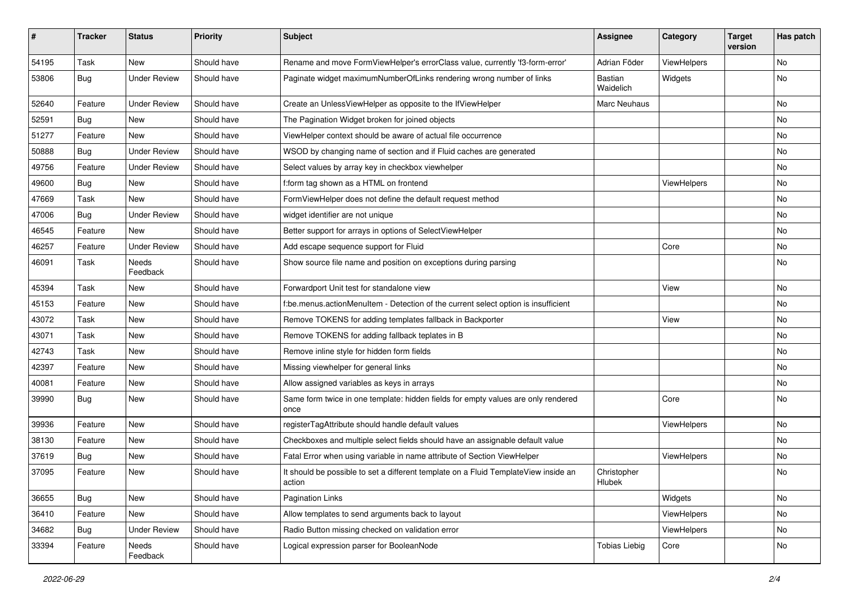| #     | <b>Tracker</b> | <b>Status</b>       | <b>Priority</b> | Subject                                                                                       | <b>Assignee</b>       | Category    | <b>Target</b><br>version | Has patch |
|-------|----------------|---------------------|-----------------|-----------------------------------------------------------------------------------------------|-----------------------|-------------|--------------------------|-----------|
| 54195 | Task           | New                 | Should have     | Rename and move FormViewHelper's errorClass value, currently 'f3-form-error'                  | Adrian Föder          | ViewHelpers |                          | <b>No</b> |
| 53806 | Bug            | <b>Under Review</b> | Should have     | Paginate widget maximumNumberOfLinks rendering wrong number of links                          | Bastian<br>Waidelich  | Widgets     |                          | No        |
| 52640 | Feature        | <b>Under Review</b> | Should have     | Create an UnlessViewHelper as opposite to the IfViewHelper                                    | Marc Neuhaus          |             |                          | <b>No</b> |
| 52591 | Bug            | New                 | Should have     | The Pagination Widget broken for joined objects                                               |                       |             |                          | No        |
| 51277 | Feature        | <b>New</b>          | Should have     | ViewHelper context should be aware of actual file occurrence                                  |                       |             |                          | <b>No</b> |
| 50888 | Bug            | <b>Under Review</b> | Should have     | WSOD by changing name of section and if Fluid caches are generated                            |                       |             |                          | No        |
| 49756 | Feature        | <b>Under Review</b> | Should have     | Select values by array key in checkbox viewhelper                                             |                       |             |                          | No        |
| 49600 | Bug            | <b>New</b>          | Should have     | f:form tag shown as a HTML on frontend                                                        |                       | ViewHelpers |                          | No        |
| 47669 | Task           | <b>New</b>          | Should have     | FormViewHelper does not define the default request method                                     |                       |             |                          | No        |
| 47006 | Bug            | <b>Under Review</b> | Should have     | widget identifier are not unique                                                              |                       |             |                          | No        |
| 46545 | Feature        | New                 | Should have     | Better support for arrays in options of SelectViewHelper                                      |                       |             |                          | No        |
| 46257 | Feature        | <b>Under Review</b> | Should have     | Add escape sequence support for Fluid                                                         |                       | Core        |                          | No        |
| 46091 | Task           | Needs<br>Feedback   | Should have     | Show source file name and position on exceptions during parsing                               |                       |             |                          | No        |
| 45394 | Task           | New                 | Should have     | Forwardport Unit test for standalone view                                                     |                       | View        |                          | No        |
| 45153 | Feature        | <b>New</b>          | Should have     | f:be.menus.actionMenuItem - Detection of the current select option is insufficient            |                       |             |                          | No        |
| 43072 | Task           | New                 | Should have     | Remove TOKENS for adding templates fallback in Backporter                                     |                       | View        |                          | No        |
| 43071 | Task           | New                 | Should have     | Remove TOKENS for adding fallback teplates in B                                               |                       |             |                          | <b>No</b> |
| 42743 | Task           | New                 | Should have     | Remove inline style for hidden form fields                                                    |                       |             |                          | No        |
| 42397 | Feature        | New                 | Should have     | Missing viewhelper for general links                                                          |                       |             |                          | No        |
| 40081 | Feature        | <b>New</b>          | Should have     | Allow assigned variables as keys in arrays                                                    |                       |             |                          | No        |
| 39990 | Bug            | New                 | Should have     | Same form twice in one template: hidden fields for empty values are only rendered<br>once     |                       | Core        |                          | No        |
| 39936 | Feature        | <b>New</b>          | Should have     | registerTagAttribute should handle default values                                             |                       | ViewHelpers |                          | No        |
| 38130 | Feature        | New                 | Should have     | Checkboxes and multiple select fields should have an assignable default value                 |                       |             |                          | No        |
| 37619 | Bug            | New                 | Should have     | Fatal Error when using variable in name attribute of Section ViewHelper                       |                       | ViewHelpers |                          | <b>No</b> |
| 37095 | Feature        | New                 | Should have     | It should be possible to set a different template on a Fluid TemplateView inside an<br>action | Christopher<br>Hlubek |             |                          | No        |
| 36655 | Bug            | New                 | Should have     | Pagination Links                                                                              |                       | Widgets     |                          | No        |
| 36410 | Feature        | New                 | Should have     | Allow templates to send arguments back to layout                                              |                       | ViewHelpers |                          | No        |
| 34682 | Bug            | <b>Under Review</b> | Should have     | Radio Button missing checked on validation error                                              |                       | ViewHelpers |                          | No        |
| 33394 | Feature        | Needs<br>Feedback   | Should have     | Logical expression parser for BooleanNode                                                     | <b>Tobias Liebig</b>  | Core        |                          | No        |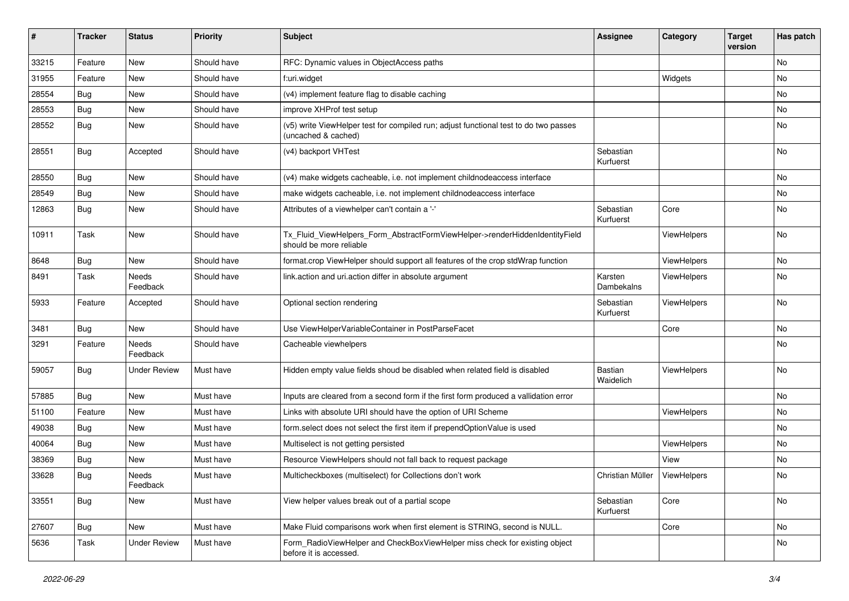| $\pmb{\#}$ | <b>Tracker</b> | <b>Status</b>       | <b>Priority</b> | Subject                                                                                                     | <b>Assignee</b>        | Category    | <b>Target</b><br>version | Has patch |
|------------|----------------|---------------------|-----------------|-------------------------------------------------------------------------------------------------------------|------------------------|-------------|--------------------------|-----------|
| 33215      | Feature        | New                 | Should have     | RFC: Dynamic values in ObjectAccess paths                                                                   |                        |             |                          | No        |
| 31955      | Feature        | New                 | Should have     | f:uri.widget                                                                                                |                        | Widgets     |                          | No        |
| 28554      | Bug            | New                 | Should have     | (v4) implement feature flag to disable caching                                                              |                        |             |                          | No        |
| 28553      | Bug            | New                 | Should have     | improve XHProf test setup                                                                                   |                        |             |                          | No        |
| 28552      | Bug            | New                 | Should have     | (v5) write ViewHelper test for compiled run; adjust functional test to do two passes<br>(uncached & cached) |                        |             |                          | No        |
| 28551      | Bug            | Accepted            | Should have     | (v4) backport VHTest                                                                                        | Sebastian<br>Kurfuerst |             |                          | No        |
| 28550      | Bug            | New                 | Should have     | (v4) make widgets cacheable, i.e. not implement childnodeaccess interface                                   |                        |             |                          | No        |
| 28549      | Bug            | New                 | Should have     | make widgets cacheable, i.e. not implement childnodeaccess interface                                        |                        |             |                          | No        |
| 12863      | <b>Bug</b>     | New                 | Should have     | Attributes of a viewhelper can't contain a '-'                                                              | Sebastian<br>Kurfuerst | Core        |                          | No        |
| 10911      | Task           | New                 | Should have     | Tx_Fluid_ViewHelpers_Form_AbstractFormViewHelper->renderHiddenIdentityField<br>should be more reliable      |                        | ViewHelpers |                          | No        |
| 8648       | Bug            | New                 | Should have     | format.crop ViewHelper should support all features of the crop stdWrap function                             |                        | ViewHelpers |                          | No        |
| 8491       | Task           | Needs<br>Feedback   | Should have     | link.action and uri.action differ in absolute argument                                                      | Karsten<br>Dambekalns  | ViewHelpers |                          | No        |
| 5933       | Feature        | Accepted            | Should have     | Optional section rendering                                                                                  | Sebastian<br>Kurfuerst | ViewHelpers |                          | No        |
| 3481       | Bug            | New                 | Should have     | Use ViewHelperVariableContainer in PostParseFacet                                                           |                        | Core        |                          | No        |
| 3291       | Feature        | Needs<br>Feedback   | Should have     | Cacheable viewhelpers                                                                                       |                        |             |                          | No        |
| 59057      | Bug            | Under Review        | Must have       | Hidden empty value fields shoud be disabled when related field is disabled                                  | Bastian<br>Waidelich   | ViewHelpers |                          | No        |
| 57885      | Bug            | <b>New</b>          | Must have       | Inputs are cleared from a second form if the first form produced a vallidation error                        |                        |             |                          | <b>No</b> |
| 51100      | Feature        | New                 | Must have       | Links with absolute URI should have the option of URI Scheme                                                |                        | ViewHelpers |                          | No        |
| 49038      | Bug            | New                 | Must have       | form.select does not select the first item if prependOptionValue is used                                    |                        |             |                          | No        |
| 40064      | Bug            | New                 | Must have       | Multiselect is not getting persisted                                                                        |                        | ViewHelpers |                          | No        |
| 38369      | Bug            | New                 | Must have       | Resource ViewHelpers should not fall back to request package                                                |                        | View        |                          | No        |
| 33628      | <b>Bug</b>     | Needs<br>Feedback   | Must have       | Multicheckboxes (multiselect) for Collections don't work                                                    | Christian Müller       | ViewHelpers |                          | No        |
| 33551      | Bug            | New                 | Must have       | View helper values break out of a partial scope                                                             | Sebastian<br>Kurfuerst | Core        |                          | No        |
| 27607      | Bug            | New                 | Must have       | Make Fluid comparisons work when first element is STRING, second is NULL.                                   |                        | Core        |                          | No        |
| 5636       | Task           | <b>Under Review</b> | Must have       | Form RadioViewHelper and CheckBoxViewHelper miss check for existing object<br>before it is accessed.        |                        |             |                          | No        |